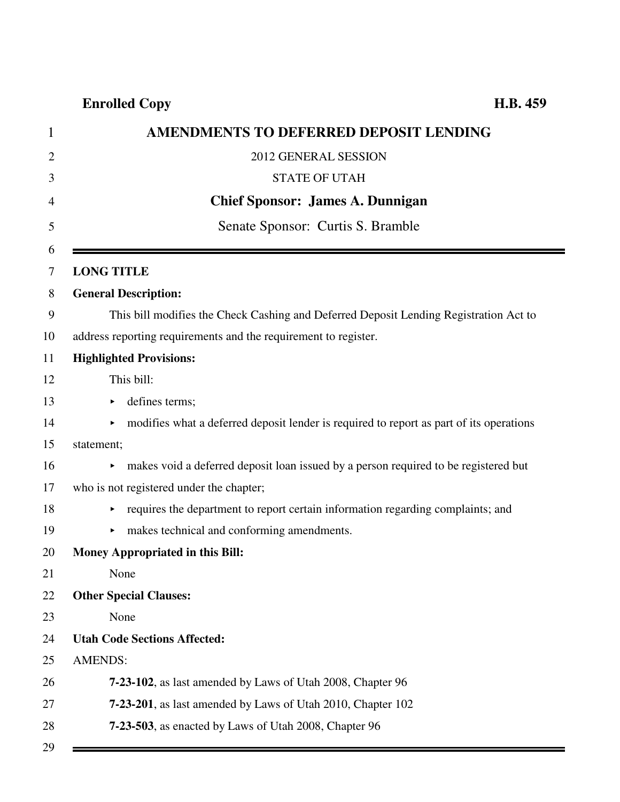| 1              | AMENDMENTS TO DEFERRED DEPOSIT LENDING                                                   |
|----------------|------------------------------------------------------------------------------------------|
| $\overline{2}$ | 2012 GENERAL SESSION                                                                     |
| 3              | <b>STATE OF UTAH</b>                                                                     |
| 4              | <b>Chief Sponsor: James A. Dunnigan</b>                                                  |
| 5              | Senate Sponsor: Curtis S. Bramble                                                        |
| 6<br>7         | <b>LONG TITLE</b>                                                                        |
| 8              | <b>General Description:</b>                                                              |
| 9              | This bill modifies the Check Cashing and Deferred Deposit Lending Registration Act to    |
| 10             | address reporting requirements and the requirement to register.                          |
| 11             | <b>Highlighted Provisions:</b>                                                           |
| 12             | This bill:                                                                               |
| 13             | defines terms;<br>▶                                                                      |
| 14             | modifies what a deferred deposit lender is required to report as part of its operations  |
| 15             | statement;                                                                               |
| 16             | makes void a deferred deposit loan issued by a person required to be registered but<br>▶ |
| 17             | who is not registered under the chapter;                                                 |
| 18             | requires the department to report certain information regarding complaints; and          |
| 19             | makes technical and conforming amendments.<br>×                                          |
| 20             | <b>Money Appropriated in this Bill:</b>                                                  |
| 21             | None                                                                                     |
| 22             | <b>Other Special Clauses:</b>                                                            |
| 23             | None                                                                                     |
| 24             | <b>Utah Code Sections Affected:</b>                                                      |
| 25             | <b>AMENDS:</b>                                                                           |
| 26             | 7-23-102, as last amended by Laws of Utah 2008, Chapter 96                               |
| 27             | <b>7-23-201</b> , as last amended by Laws of Utah 2010, Chapter 102                      |
| 28             | 7-23-503, as enacted by Laws of Utah 2008, Chapter 96                                    |
| 29             |                                                                                          |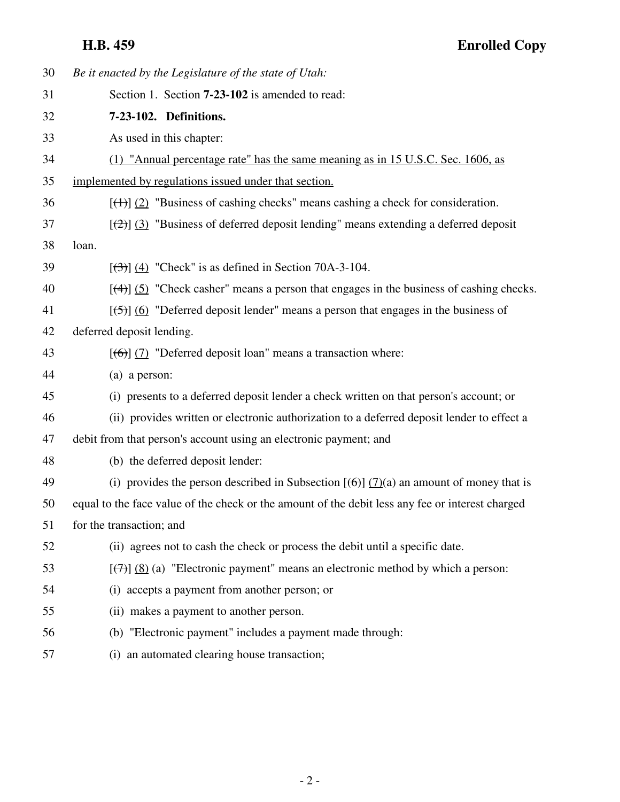| 30 | Be it enacted by the Legislature of the state of Utah:                                                                   |
|----|--------------------------------------------------------------------------------------------------------------------------|
| 31 | Section 1. Section <b>7-23-102</b> is amended to read:                                                                   |
| 32 | 7-23-102. Definitions.                                                                                                   |
| 33 | As used in this chapter:                                                                                                 |
| 34 | (1) "Annual percentage rate" has the same meaning as in 15 U.S.C. Sec. 1606, as                                          |
| 35 | implemented by regulations issued under that section.                                                                    |
| 36 | $[\frac{(+)}{2}]$ "Business of cashing checks" means cashing a check for consideration.                                  |
| 37 | $[\frac{1}{2}]$ (3) "Business of deferred deposit lending" means extending a deferred deposit                            |
| 38 | loan.                                                                                                                    |
| 39 | $[$ (4) "Check" is as defined in Section 70A-3-104.                                                                      |
| 40 | $[$ (4)] (5) "Check casher" means a person that engages in the business of cashing checks.                               |
| 41 | $[\frac{5}{2}]$ (6) "Deferred deposit lender" means a person that engages in the business of                             |
| 42 | deferred deposit lending.                                                                                                |
| 43 | $[\textbf{(-6)}]$ (7) "Deferred deposit loan" means a transaction where:                                                 |
| 44 | (a) a person:                                                                                                            |
| 45 | (i) presents to a deferred deposit lender a check written on that person's account; or                                   |
| 46 | (ii) provides written or electronic authorization to a deferred deposit lender to effect a                               |
| 47 | debit from that person's account using an electronic payment; and                                                        |
| 48 | (b) the deferred deposit lender:                                                                                         |
| 49 | (i) provides the person described in Subsection $[\left(\frac{\theta}{\theta}\right)]$ (7)(a) an amount of money that is |
| 50 | equal to the face value of the check or the amount of the debit less any fee or interest charged                         |
| 51 | for the transaction; and                                                                                                 |
| 52 | (ii) agrees not to cash the check or process the debit until a specific date.                                            |
| 53 | $[\overline{(+)}]$ (8) (a) "Electronic payment" means an electronic method by which a person:                            |
| 54 | (i) accepts a payment from another person; or                                                                            |
| 55 | (ii) makes a payment to another person.                                                                                  |
| 56 | (b) "Electronic payment" includes a payment made through:                                                                |
| 57 | (i) an automated clearing house transaction;                                                                             |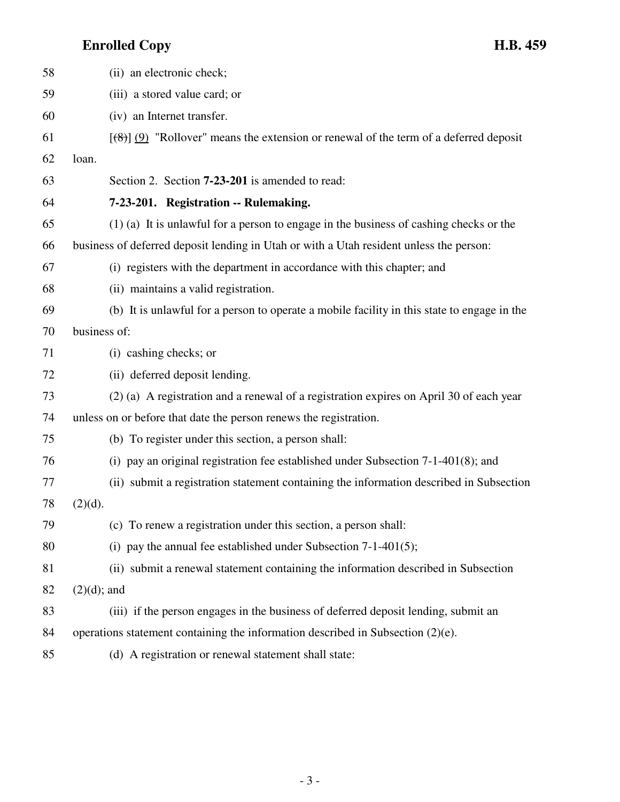| 58 | (ii) an electronic check;                                                                       |
|----|-------------------------------------------------------------------------------------------------|
| 59 | (iii) a stored value card; or                                                                   |
| 60 | (iv) an Internet transfer.                                                                      |
| 61 | $[\frac{120}{120}]$ "Rollover" means the extension or renewal of the term of a deferred deposit |
| 62 | loan.                                                                                           |
| 63 | Section 2. Section <b>7-23-201</b> is amended to read:                                          |
| 64 | 7-23-201. Registration -- Rulemaking.                                                           |
| 65 | $(1)$ (a) It is unlawful for a person to engage in the business of cashing checks or the        |
| 66 | business of deferred deposit lending in Utah or with a Utah resident unless the person:         |
| 67 | (i) registers with the department in accordance with this chapter; and                          |
| 68 | (ii) maintains a valid registration.                                                            |
| 69 | (b) It is unlawful for a person to operate a mobile facility in this state to engage in the     |
| 70 | business of:                                                                                    |
| 71 | (i) cashing checks; or                                                                          |
| 72 | (ii) deferred deposit lending.                                                                  |
| 73 | (2) (a) A registration and a renewal of a registration expires on April 30 of each year         |
| 74 | unless on or before that date the person renews the registration.                               |
| 75 | (b) To register under this section, a person shall:                                             |
| 76 | (i) pay an original registration fee established under Subsection 7-1-401(8); and               |
| 77 | (ii) submit a registration statement containing the information described in Subsection         |
| 78 | $(2)(d)$ .                                                                                      |
| 79 | (c) To renew a registration under this section, a person shall:                                 |
| 80 | (i) pay the annual fee established under Subsection $7-1-401(5)$ ;                              |
| 81 | (ii) submit a renewal statement containing the information described in Subsection              |
| 82 | $(2)(d)$ ; and                                                                                  |
| 83 | (iii) if the person engages in the business of deferred deposit lending, submit an              |
| 84 | operations statement containing the information described in Subsection $(2)(e)$ .              |
| 85 | (d) A registration or renewal statement shall state:                                            |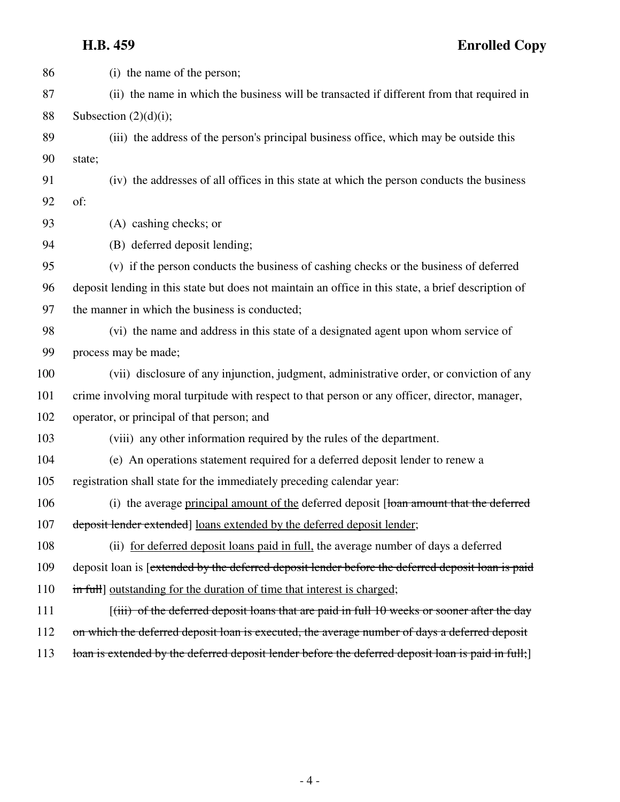| 86  | (i) the name of the person;                                                                         |
|-----|-----------------------------------------------------------------------------------------------------|
| 87  | (ii) the name in which the business will be transacted if different from that required in           |
| 88  | Subsection $(2)(d)(i)$ ;                                                                            |
| 89  | (iii) the address of the person's principal business office, which may be outside this              |
| 90  | state;                                                                                              |
| 91  | (iv) the addresses of all offices in this state at which the person conducts the business           |
| 92  | of:                                                                                                 |
| 93  | (A) cashing checks; or                                                                              |
| 94  | (B) deferred deposit lending;                                                                       |
| 95  | (v) if the person conducts the business of cashing checks or the business of deferred               |
| 96  | deposit lending in this state but does not maintain an office in this state, a brief description of |
| 97  | the manner in which the business is conducted;                                                      |
| 98  | (vi) the name and address in this state of a designated agent upon whom service of                  |
| 99  | process may be made;                                                                                |
| 100 | (vii) disclosure of any injunction, judgment, administrative order, or conviction of any            |
| 101 | crime involving moral turpitude with respect to that person or any officer, director, manager,      |
| 102 | operator, or principal of that person; and                                                          |
| 103 | (viii) any other information required by the rules of the department.                               |
| 104 | (e) An operations statement required for a deferred deposit lender to renew a                       |
| 105 | registration shall state for the immediately preceding calendar year:                               |
| 106 | (i) the average principal amount of the deferred deposit [loan amount that the deferred             |
| 107 | deposit lender extended] loans extended by the deferred deposit lender;                             |
| 108 | (ii) for deferred deposit loans paid in full, the average number of days a deferred                 |
| 109 | deposit loan is [extended by the deferred deposit lender before the deferred deposit loan is paid   |
| 110 | in full] outstanding for the duration of time that interest is charged;                             |
| 111 | $[(iii)$ of the deferred deposit loans that are paid in full 10 weeks or sooner after the day       |
| 112 | on which the deferred deposit loan is executed, the average number of days a deferred deposit       |
| 113 | loan is extended by the deferred deposit lender before the deferred deposit loan is paid in full;   |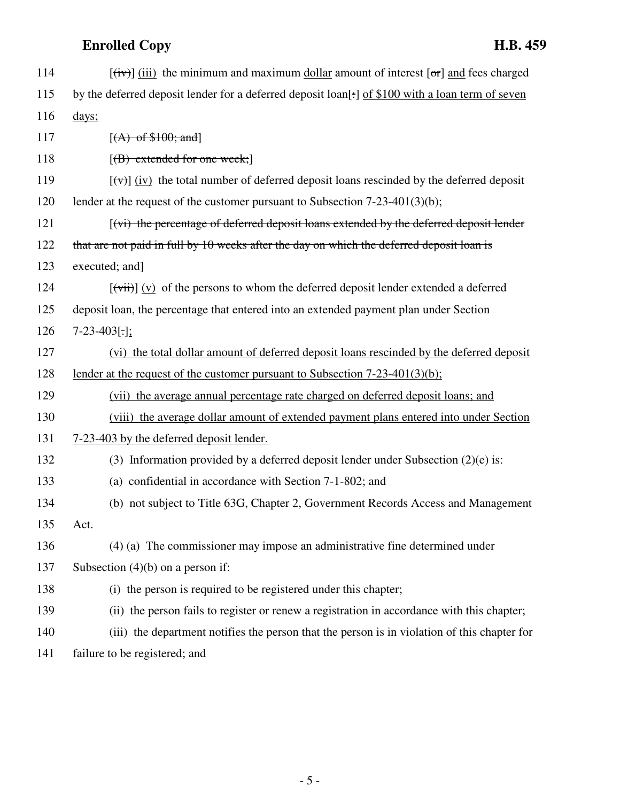| 114 | $[\overrightarrow{(iv)}]$ (iii) the minimum and maximum dollar amount of interest $[\overrightarrow{or}]$ and fees charged |
|-----|----------------------------------------------------------------------------------------------------------------------------|
| 115 | by the deferred deposit lender for a deferred deposit loan[:] of \$100 with a loan term of seven                           |
| 116 | days;                                                                                                                      |
| 117 | $[(A)$ of \$100; and]                                                                                                      |
| 118 | $[({\rm B})$ extended for one week;                                                                                        |
| 119 | $[\forall \vec{v}]$ (iv) the total number of deferred deposit loans rescinded by the deferred deposit                      |
| 120 | lender at the request of the customer pursuant to Subsection $7-23-401(3)(b)$ ;                                            |
| 121 | [(vi) the percentage of deferred deposit loans extended by the deferred deposit lender                                     |
| 122 | that are not paid in full by 10 weeks after the day on which the deferred deposit loan is                                  |
| 123 | executed; and                                                                                                              |
| 124 | $[\overrightarrow{vii}] (v)$ of the persons to whom the deferred deposit lender extended a deferred                        |
| 125 | deposit loan, the percentage that entered into an extended payment plan under Section                                      |
| 126 | $7-23-403$ [.];                                                                                                            |
| 127 | (vi) the total dollar amount of deferred deposit loans rescinded by the deferred deposit                                   |
| 128 | lender at the request of the customer pursuant to Subsection $7-23-401(3)(b)$ ;                                            |
| 129 | (vii) the average annual percentage rate charged on deferred deposit loans; and                                            |
| 130 | (viii) the average dollar amount of extended payment plans entered into under Section                                      |
| 131 | 7-23-403 by the deferred deposit lender.                                                                                   |
| 132 | (3) Information provided by a deferred deposit lender under Subsection $(2)(e)$ is:                                        |
| 133 | (a) confidential in accordance with Section 7-1-802; and                                                                   |
| 134 | (b) not subject to Title 63G, Chapter 2, Government Records Access and Management                                          |
| 135 | Act.                                                                                                                       |
| 136 | (4) (a) The commissioner may impose an administrative fine determined under                                                |
| 137 | Subsection $(4)(b)$ on a person if:                                                                                        |
| 138 | (i) the person is required to be registered under this chapter;                                                            |
| 139 | (ii) the person fails to register or renew a registration in accordance with this chapter;                                 |
| 140 | (iii) the department notifies the person that the person is in violation of this chapter for                               |
| 141 | failure to be registered; and                                                                                              |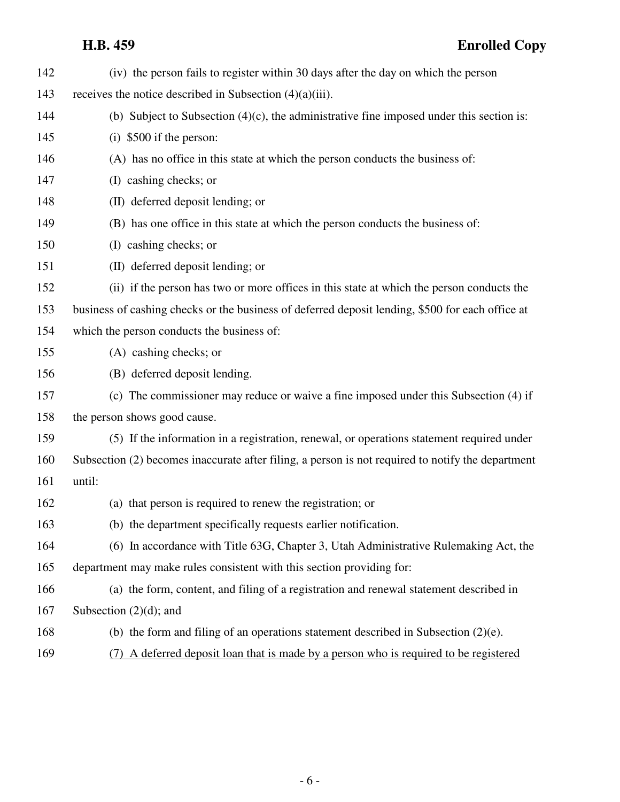| 142 | (iv) the person fails to register within 30 days after the day on which the person                |
|-----|---------------------------------------------------------------------------------------------------|
| 143 | receives the notice described in Subsection $(4)(a)(iii)$ .                                       |
| 144 | (b) Subject to Subsection $(4)(c)$ , the administrative fine imposed under this section is:       |
| 145 | $(i)$ \$500 if the person:                                                                        |
| 146 | (A) has no office in this state at which the person conducts the business of:                     |
| 147 | (I) cashing checks; or                                                                            |
| 148 | (II) deferred deposit lending; or                                                                 |
| 149 | (B) has one office in this state at which the person conducts the business of:                    |
| 150 | (I) cashing checks; or                                                                            |
| 151 | (II) deferred deposit lending; or                                                                 |
| 152 | (ii) if the person has two or more offices in this state at which the person conducts the         |
| 153 | business of cashing checks or the business of deferred deposit lending, \$500 for each office at  |
| 154 | which the person conducts the business of:                                                        |
| 155 | (A) cashing checks; or                                                                            |
| 156 | (B) deferred deposit lending.                                                                     |
| 157 | (c) The commissioner may reduce or waive a fine imposed under this Subsection (4) if              |
| 158 | the person shows good cause.                                                                      |
| 159 | (5) If the information in a registration, renewal, or operations statement required under         |
| 160 | Subsection (2) becomes inaccurate after filing, a person is not required to notify the department |
| 161 | until:                                                                                            |
| 162 | (a) that person is required to renew the registration; or                                         |
| 163 | (b) the department specifically requests earlier notification.                                    |
| 164 | (6) In accordance with Title 63G, Chapter 3, Utah Administrative Rulemaking Act, the              |
| 165 | department may make rules consistent with this section providing for:                             |
| 166 | (a) the form, content, and filing of a registration and renewal statement described in            |
| 167 | Subsection $(2)(d)$ ; and                                                                         |
| 168 | (b) the form and filing of an operations statement described in Subsection $(2)(e)$ .             |
| 169 | (7) A deferred deposit loan that is made by a person who is required to be registered             |